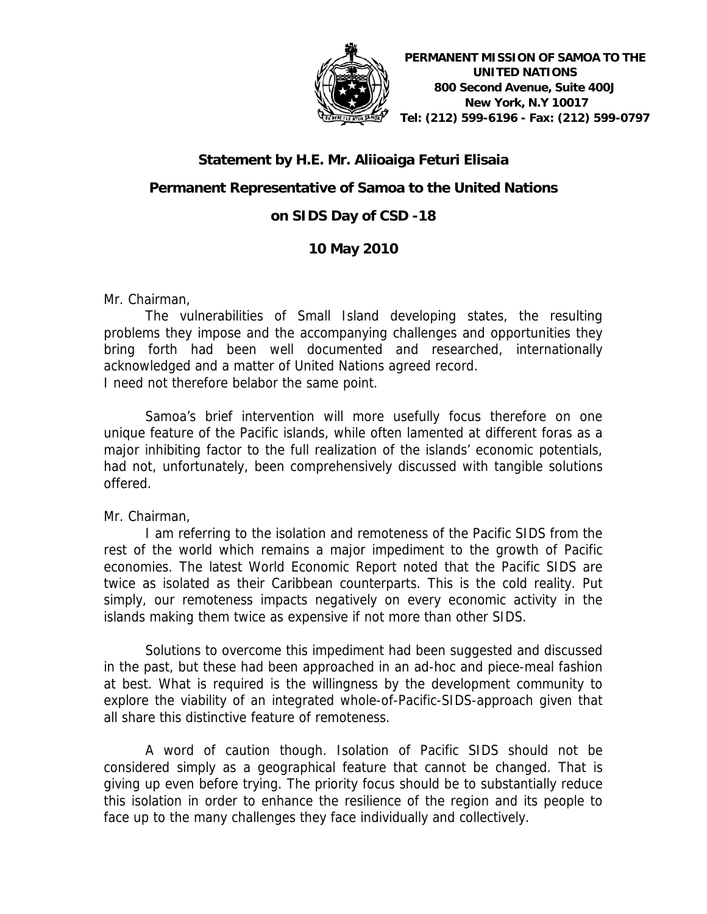

### **Statement by H.E. Mr. Aliioaiga Feturi Elisaia**

## **Permanent Representative of Samoa to the United Nations**

# **on SIDS Day of CSD -18**

## **10 May 2010**

Mr. Chairman,

The vulnerabilities of Small Island developing states, the resulting problems they impose and the accompanying challenges and opportunities they bring forth had been well documented and researched, internationally acknowledged and a matter of United Nations agreed record. I need not therefore belabor the same point.

Samoa's brief intervention will more usefully focus therefore on one unique feature of the Pacific islands, while often lamented at different foras as a major inhibiting factor to the full realization of the islands' economic potentials, had not, unfortunately, been comprehensively discussed with tangible solutions offered.

Mr. Chairman,

I am referring to the isolation and remoteness of the Pacific SIDS from the rest of the world which remains a major impediment to the growth of Pacific economies. The latest World Economic Report noted that the Pacific SIDS are twice as isolated as their Caribbean counterparts. This is the cold reality. Put simply, our remoteness impacts negatively on every economic activity in the islands making them twice as expensive if not more than other SIDS.

Solutions to overcome this impediment had been suggested and discussed in the past, but these had been approached in an ad-hoc and piece-meal fashion at best. What is required is the willingness by the development community to explore the viability of an integrated whole-of-Pacific-SIDS-approach given that all share this distinctive feature of remoteness.

A word of caution though. Isolation of Pacific SIDS should not be considered simply as a geographical feature that cannot be changed. That is giving up even before trying. The priority focus should be to substantially reduce this isolation in order to enhance the resilience of the region and its people to face up to the many challenges they face individually and collectively.